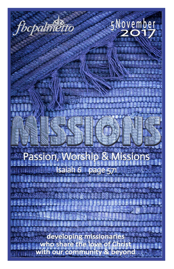

fbcpalmetto

5November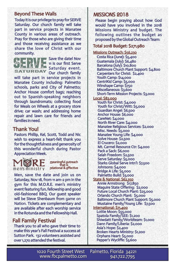#### **Beyond These Walls**

Today it is our privilege to pray for SERVE Saturday. Our church family will take part in service projects in Manatee County in various areas of outreach. Pray for those who are giving their time and those receiving assistance as we share the love of Christ with our community.



Save the datel Nov 11 is our first Serve Saturday event. Our church family

will take part in service projects in Manatee County including: Palmetto schools, parks and City of Palmetto; Anchor House comfort bags; reaching out to Spanish-speaking neighbors through laundromats; collecting food for Meals on Wheels at a grocery store drive; car wash; and addressing home repair and lawn care for friends and families in need.

#### **Thank You!**

Pastors Phillip, Kel, Scott, Todd and Nic wish to express a heart-felt thank you for the thoughtfulness and generosity of this wonderful church during Pastor **Appreciation Week.** 



meaningful outreach that is relational & effective

Men, save the date and join us on Saturday, Nov 18, from 11 am-2 pm in the gym for this M.O.R.E. men's ministry event featuring fun, fellowship and good old-fashioned BBQ. Our guest speaker will be Steve Shenbaum from game on Nation. Tickets are complementary and are available after each worship service in the Rotunda and the Fellowship Hall.

#### **Fall Family Festival**

Thank you to all who gave their time to make this year's Fall Festival a success at Sutton Park. 132 volunteers assisted and over 1,270 attended the festival.

#### MISSIONS 2018

Please begin praying about how God would have you involved in the 2018 Missions Ministry and budget. The following outlines the budget as proposed by the Global Outreach Team:

#### Total 2018 Budget: \$271,980

Missions Outreach: \$56,230 Costa Rica (June): \$5,400 Guatemala (July): \$6,480 Barcelona (July): \$10,800 Baltimore Church Plant Support: \$4,800 Carpenters for Christ: \$2,400 Youth Camp: \$14,000 CentriKid Camp: \$5,000 Winshape Camp: \$750 Miscellaneous: \$3,600 Short-Term Mission Projects: \$3,000 **Local: \$82,000** Youth for Christ: \$4,000 Youth for Christ/Witt: \$5,000

Guardian Angel: \$6,500 Anchor House: \$6,000 CareNet: \$4,000 North River Care: \$4,000 Manatee Religious Services: \$2,000 Misc. Needs: \$5,000 Manatee Young Life: \$4,000 Solve House: \$2,500 El Crucero: \$2,000 Mt. Carmel Resource Ctr: \$4,000 Pack a Sack: \$6,000 Selah Freedom: \$2,500 Serve Saturday: \$5,000 Starks Global Serve Intn'l: \$7,500 Johnsons: \$4,000 Bridge A Life: \$5,000 Palmetto Build: \$3,000

State & National: \$62,350 Annie Armstrong: \$17,850 Maguire State Offering: \$2,000 Future Local Church Plant: \$25,000 Orlando Church Plant: \$5,000 Baltimore Church Plant Support: \$5,000 Mustaine Family/Young Life: \$7,500 International: \$71,400 Lottie Moon: \$55,000

Spatola Family/SEE: \$1,200 Shiwdatt Family/Worldteam: \$1,000 Dann Family/Liberia: \$2,000 Asia's Hope: \$2,400 Broken Hearts Ministry: \$1,200 Orphans Heart: \$5,000 Pepper's Wycliffe: \$3,600

1020 Fourth Street West Palmetto, Florida 34221 www.fbcpalmetto.com 941.722.7795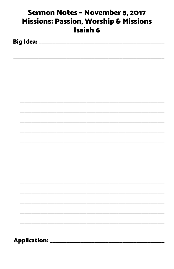| Sermon Notes - November 5, 2017<br><b>Missions: Passion, Worship &amp; Missions</b><br><b>Isaiah 6</b> |  |  |  |  |  |
|--------------------------------------------------------------------------------------------------------|--|--|--|--|--|
|                                                                                                        |  |  |  |  |  |
|                                                                                                        |  |  |  |  |  |
|                                                                                                        |  |  |  |  |  |
|                                                                                                        |  |  |  |  |  |
|                                                                                                        |  |  |  |  |  |
|                                                                                                        |  |  |  |  |  |
|                                                                                                        |  |  |  |  |  |
|                                                                                                        |  |  |  |  |  |
|                                                                                                        |  |  |  |  |  |
|                                                                                                        |  |  |  |  |  |
|                                                                                                        |  |  |  |  |  |
|                                                                                                        |  |  |  |  |  |
|                                                                                                        |  |  |  |  |  |
| Application: ______________                                                                            |  |  |  |  |  |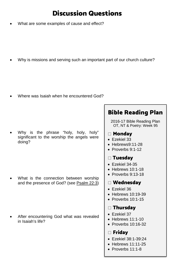# Discussion Questions

• What are some examples of cause and effect?

Why is missions and serving such an important part of our church culture?

• Where was Isaiah when he encountered God?

• Why is the phrase "holy, holy, holy" significant to the worship the angels were doing?

What is the connection between worship and the presence of God? (see [Psalm 22:3\)](https://www.biblegateway.com/passage/?search=Psalm+22%3A3&version=ESV)

After encountering God what was revealed in Isaiah's life?

## Bible Reading Plan

2016-17 Bible Reading Plan OT, NT & Poetry: Week 95

- Monday
- [Ezekiel 33](https://www.biblegateway.com/passage/?search=ezekiel+33&version=ESV)
- [Hebrews9:11-28](https://www.biblegateway.com/passage/?search=hebrews+9%3A11-28&version=ESV)
- [Proverbs 9:1-12](https://www.biblegateway.com/passage/?search=proverbs+9%3A1-12&version=ESV)

## Tuesday

- [Ezekiel 34-35](https://www.biblegateway.com/passage/?search=ezekiel+34-35&version=ESV)
- [Hebrews 10:1-18](https://www.biblegateway.com/passage/?search=hebrews+10%3A1-18&version=ESV)
- [Proverbs 9:13-18](https://www.biblegateway.com/passage/?search=proverbs+9%3A13-18&version=ESV)

#### Wednesday

- [Ezekiel 36](https://www.biblegateway.com/passage/?search=ezekiel+36&version=ESV)
- [Hebrews 10:19-39](https://www.biblegateway.com/passage/?search=hebrews+10%3A19-10%3A39&version=ESV)
- Proverbs 10:1-15

### Thursday

- [Ezekiel 37](https://www.biblegateway.com/passage/?search=ezekiel+37&version=ESV)
- $\bullet$  [Hebrews 11:1-10](https://www.biblegateway.com/passage/?search=hebrews+11%3A1-10&version=ESV)
- [Proverbs 10:16-32](https://www.biblegateway.com/passage/?search=proverbs+10%3A16-32&version=ESV)

## Friday

- [Ezekiel 38:1-39:24](https://www.biblegateway.com/passage/?search=ezekiel+38%3A1-39%3A24&version=ESV)
- [Hebrews 11:11-25](https://www.biblegateway.com/passage/?search=hebrews+11%3A11-25&version=ESV)
- Proverbs 11:1-8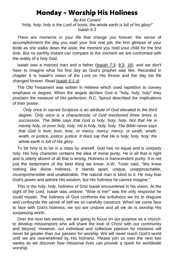## Monday – Worship His Holiness

*By Kel Cunard "Holy, holy, holy is the Lord of hosts; the whole earth is full of his glory!" Isaiah 6:3*

 There are moments in your life that change you forever: the sense of accomplishment the day you start your first real job; the first glimpse of your bride as she walks down the aisle; the moment you hold your child for the first time. But no earthly instant can compare to the moment we are confronted with the reality of a holy God.

 Isaiah was a married man and a father [\(Isaiah 7:3;](https://www.biblegateway.com/passage/?search=Isaiah+7%3A3&version=ESV) [8:3,](https://www.biblegateway.com/passage/?search=Isaiah+8%3A3&version=ESV) [18\)](https://www.biblegateway.com/passage/?search=Isaiah+18&version=ESV), and we don't have to imagine what his first day as God's prophet was like. Recorded in chapter 6 is Isaiah's vision of the Lord on His throne and the day his life changed forever. *Read [Isaiah 6:1–8](https://www.biblegateway.com/passage/?search=Isaiah+6%3A1%E2%80%938&version=ESV)*.

 The Old Testament was written in Hebrew which used repetition to convey emphasis or degree. When the angels declare God is "holy, holy, holy" they proclaim the measure of His perfection. R.C. Sproul described the implications of their praise:

 *Only once in sacred Scripture is an attribute of God elevated to the third degree. Only once is a characteristic of God mentioned three times in succession. The Bible says that God is holy, holy, holy. Not that He is merely holy, or even holy, holy. He is holy, holy, holy. The Bible never says that God is love, love, love, or mercy, mercy, mercy, or wrath, wrath, wrath, or justice, justice, justice. It does say that He is holy, holy, holy; the whole earth is full of His glory.*

 To be holy is to be in a class by oneself. God has no equal and is uniquely holy. His holy character contains the idea of moral purity. He is all that is right and is utterly absent of all that is wrong. Holiness is transcendent purity. It is not just the betterment of the best thing we know. A.W. Tozer said, "We know nothing like divine holiness. It stands apart, unique, unapproachable, incomprehensible and unattainable. The natural man is blind to it. He may fear God's power and admire His wisdom, but His holiness he cannot imagine."

 This is the holy, holy, holiness of God Isaiah encountered in his vision. At the sight of the Lord, Isaiah was undone. "Woe is me!" was the only response he could muster. The holiness of God confronts the sinfulness we try to disguise and confounds the sense of self we so carefully construct. When we come face to face with God's holiness, we too are undone and all we do is worship His surpassing worth.

 Over the next two weeks, we are going to focus on our purpose as a church: to develop missionaries who will share the love of Christ with our community and beyond. However, our individual and collective passion for missions will never be greater than our passion for worship. We will never reach God's world until we are overwhelmed by His holiness. Please join us over the next two weeks as we discover how missional lives can provide a spark for worldwide worship.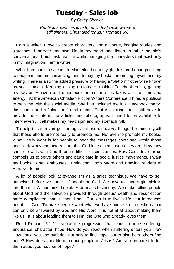## Tuesday – Sales Job

*By Cathy Slusser*

*"But God shows his love for us in that while we were still sinners, Christ died for us." Romans 5:8*

 I am a writer. I love to create characters and dialogue, imagine stories and situations. I narrate my own life in my head and listen to other people's conversations. I multitask real life while managing the characters that exist only in my imagination. I am a writer.

What I am not is a salesman. Marketing is not my gift. It is hard enough talking to people in person, convincing them to buy my books, promoting myself and my writing. There is also the added pressure of having a "platform" otherwise known as social media. Keeping a blog up-to-date, making Facebook posts, gaining reviews on Amazon and other book promotion sites takes a lot of time and energy. At the American Christian Fiction Writers Conference, I hired a publicist to help me with the social media. She has included me in a Facebook "party" this month and a "blog tour" next month. That is exciting, but I still have to provide the content, the articles and photographs. I need to be available to interviewers. It all makes my head spin and my stomach roll.

 To help this introvert get through all these *extroverty* things, I remind myself that these efforts are not really to promote me. Not even to promote my books. What I truly want is for people to hear the messages contained within those books. How my characters learn that God loves them just as they are. How they chose to walk with God through difficult circumstances. How God's love for us compels us to serve others and participate in social justice movements. I want my books to be lighthouses illuminating God's Word and drawing readers to Him. Not to me.

 A lot of people look at evangelism as a sales technique. We have to sell ourselves before we can "sell" people on God. We have to have a gimmick to lure them in. A memorized spiel. A dramatic testimony. We make telling people about God and the salvation provided through Jesus' death and resurrection more complicated than it should be. Our job is to live a life that introduces people to God. To make people want what we have and ask us questions that can only be answered by God and His Word. It is not at all about making them like us. It is about leading them to Him, the One who already loves them.

 Read [Romans 5:1-11.](https://www.biblegateway.com/passage/?search=Romans+5%3A1-11&version=ESV) Notice the progression that leads to hope: suffering, endurance, character, hope. How do you react when suffering enters your life? How could you use suffering not only to find hope, but to also help others find hope? How does your life introduce people to Jesus? Are you prepared to tell them about your source of hope?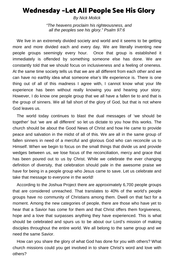## Wednesday –Let All People See His Glory

*By Nick Molick*

*"The heavens proclaim his righteousness, and all the peoples see his glory." Psalm 97:6*

We live in an extremely divided society and world and it seems to be getting more and more divided each and every day. We are literally inventing new people groups seemingly every hour. Once that group is established it immediately is offended by something someone else has done. We are constantly told that we should focus on inclusiveness and a feeling of oneness. At the same time society tells us that we are all different from each other and we can have no earthly idea what someone else's life experience is. There is one thing out of all of this madness I agree with, I cannot know what your life experience has been without really knowing you and hearing your story. However, I do know one people group that we all have a fallen tie to and that is the group of sinners. We all fall short of the glory of God, but that is not where God leaves us.

The world today continues to blast the dual messages of 'we should be together' but 'we are all different' so let us dictate to you how this works. The church should be about the Good News of Christ and how He came to provide peace and salvation in the midst of all of this. We are all in the same group of fallen sinners in need of a merciful and glorious God who can reconcile us to Himself. When we begin to focus on the small things that divide us and provide wedges between us, we lose focus of the reconciliation, mercy and grace that has been poured out to us by Christ. While we celebrate the ever changing definition of diversity, that celebration should pale in the awesome praise we have for being in a people group who Jesus came to save. Let us celebrate and take that message to everyone in the world!

According to the Joshua Project there are approximately 6,700 people groups that are considered unreached. That translates to 40% of the world's people groups have no community of Christians among them. Dwell on that fact for a moment. Among the new categories of people, there are those who have yet to hear that a Savior has come for them and that Christ offers them forgiveness, hope and a love that surpasses anything they have experienced. This is what should be celebrated and spurs us to be about our Lord's mission of making disciples throughout the entire world. We all belong to the same group and we need the same Savior.

How can you share the glory of what God has done for you with others? What church missions could you get involved in to share Christ's word and love with others?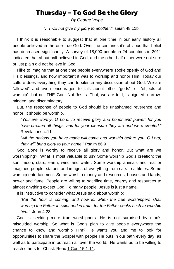## Thursday – To God Be the Glory

*By George Volpe*

*"…I will not give my glory to another."* Isaiah 48:11b

I think it is reasonable to suggest that at one time in our early history all people believed in the one true God. Over the centuries it's obvious that belief has decreased significantly. A survey of 18,000 people in 24 countries in 2011 indicated that about half believed in God, and the other half either were not sure or just plain did not believe in God.

I like to imagine that at one time people everywhere spoke openly of God and His blessings, and how important it was to worship and honor Him. Today our culture does everything they can to silence any discussion about God. We are "allowed" and even encouraged to talk about other "gods", or "objects of worship", but not THE God. Not Jesus. That, we are told, is bigoted, narrowminded, and discriminatory.

But, the response of people to God should be unashamed reverence and honor. It should be worship.

*"You are worthy, O Lord, to receive glory and honor and power: for you have created all things, and for your pleasure they are and were created."* Revelations 4:11

*"All the nations you have made will come and worship before you, O Lord; they will bring glory to your name."* Psalm 86:9

God alone is worthy to receive all glory and honor. But what are we worshipping? What is most valuable to us? Some worship God's creation: the sun, moon, stars, earth, wind and water. Some worship animals and real or imagined people, statues and images of everything from cars to athletes. Some worship entertainment. Some worship money and resources, houses and lands, power and fame. People are willing to sacrifice time, energy and resources to almost anything except God. To many people, Jesus is just a name.

It is instructive to consider what Jesus said about worship:

*"But the hour is coming, and now is, when the true worshippers shall worship the Father in spirit and in truth: for the Father seeks such to worship him."* John 4:23

God is seeking more true worshippers. He is not surprised by man's misguided worship. So what is God's plan to give people everywhere the chance to know and worship Him? He wants you and me to look for opportunities to share the Gospel with people He puts in our path every day, as well as to participate in outreach all over the world. He wants us to be willing to reach others for Christ. Read [1 Cor. 15:1-11.](https://www.biblegateway.com/passage/?search=1+Cor.+15%3A1-11&version=ESV)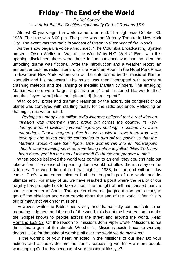## Friday - The End of the World

*By Kel Cunard "...in order that the Gentiles might glorify God…" Romans 15:9*

 Almost 80 years ago, the world came to an end. The night was October 30, 1938. The time was 8:00 pm. The place was the Mercury Theatre in New York City. The event was the radio broadcast of Orson Welles' *War of the Worlds*.

 As the show began, a voice announced, "The Columbia Broadcasting System presents Orson Welles in 'War of the Worlds' by H.G. Wells." Even with this opening disclaimer, there were those in the audience who had no idea the unfolding drama was fictional. After the introduction and a weather report, an announcer took his radio listeners to "the Meridian Room in the Hotel Park Plaza in downtown New York, where you will be entertained by the music of Ramon Raquello and his orchestra." The music was then interrupted with reports of crashing meteors and the landing of metallic Martian cylinders. The emerging Martian warriors were "large, large as a bear" and "glistened like wet leather" and their "eyes [were] black and gleam[ed] like a serpent."

 With colorful prose and dramatic readings by the actors, the conquest of our planet was conveyed with startling reality for the radio audience. Reflecting on that night, one writer noted:

 *Perhaps as many as a million radio listeners believed that a real Martian invasion was underway. Panic broke out across the country. In New Jersey, terrified civilians jammed highways seeking to escape the alien marauders. People begged police for gas masks to save them from the toxic gas and asked electric companies to turn off the power so that the Martians wouldn't see their lights. One woman ran into an Indianapolis church where evening services were being held and yelled, 'New York has been destroyed! It's the end of the world! Go home and prepare to die!'*

 When people believed the world was coming to an end, they couldn't help but take action. The sense of impending doom would not allow them to stay on the sidelines. The world did not end that night in 1938, but the end will one day come. God's word communicates both the beginnings of our world and its ultimate end. For many of us, we have reached a point where the reality of our fragility has prompted us to take action. The thought of hell has caused many a soul to surrender to Christ. The specter of eternal judgment also spurs many to get off the sidelines and warn people about the end of the world. Often this is our primary motivation for missions.

 However, while the Bible does vividly and dramatically communicate to us regarding judgment and the end of the world, this is not the best reason to make the Gospel known to people across the street and around the world. Read [Romans 15:8-13.](https://www.biblegateway.com/passage/?search=Romans+15%3A8-13&version=ESV) On the reason for missions John Piper wrote, "Missions is not the ultimate goal of the church. Worship is. Missions exists because worship doesn't… So for the sake of worship all over the world we do *missions*."

 Is the worship of your heart reflected in the missions of our life? Do your actions and attitudes declare the Lord's surpassing worth? Are more people worshipping God today because of your missional lifestyle?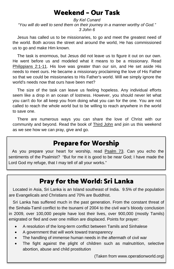## Weekend – Our Task

*By Kel Cunard "You will do well to send them on their journey in a manner worthy of God." 3 John 6*

 Jesus has called us to be missionaries, to go and meet the greatest need of the world. Both across the street and around the world, He has commissioned us to go and make Him known.

 The task is enormous, but Jesus did not leave us to figure it out on our own. He went before us and modeled what it means to be a missionary. Read [Philippians 2:1-11.](https://www.biblegateway.com/passage/?search=Philippians+2%3A1-11&version=ESV) His love was greater than our sin, and He set aside His needs to meet ours. He became a missionary proclaiming the love of His Father so that we could be missionaries to His Father's world. Will we simply ignore the world's needs now that ours have been met?

 The size of the task can leave us feeling hopeless. Any individual efforts seem like a drop in an ocean of lostness. However, you should never let what you can't do for all keep you from doing what you can for the one. You are not called to reach the whole world but to be willing to reach anywhere in the world to save one.

 There are numerous ways you can share the love of Christ with our community and beyond. Read the book of [Third John](https://www.biblegateway.com/passage/?search=3+John+1&version=ESV) and join us this weekend as we see how we can pray, give and go.

## Prepare for Worship

 As you prepare your heart for worship, read [Psalm 73.](https://www.biblegateway.com/passage/?search=psalm+73&version=ESV) Can you echo the sentiments of the Psalmist? "But for me it is good to be near God; I have made the Lord God my refuge, that I may tell of all your works."

# Pray for the World: Sri Lanka

Located in Asia, Sri Lanka is an Island southeast of India. 9.5% of the population are Evangelicals and Christians and 70% are Buddhist.

Sri Lanka has suffered much in the past generation. From the constant threat of the Sinhala-Tamil conflict to the tsunami of 2004 to the civil war's bloody conclusion in 2009, over 100,000 people have lost their lives, over 900,000 (mostly Tamils) emigrated or fled and over one million are displaced. Points for prayer:

- A resolution of the long-term conflict between Tamils and Sinhalese
- A government that will work toward transparency
- The handling of immense human needs in the aftermath of civil war
- The fight against the plight of children such as malnutrition, selective abortion, abuse and child prostitution

(Taken from www.operationworld.org)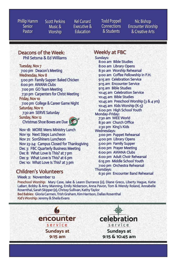Phillip Hamm Senior Pastor

**Scott Perkins** Music & Worship

Kel Cunard Executive & **Education** 

**Todd Poppell Connections** & Students

Nic Bishop **Encounter Worship** & Creative Arts

#### Deacons of the Week: Phil Setsma & Ed Williams

Tuesday, Nov 7

7:00 pm Deacon's Meeting **Wednesday, Nov 8** 5:00 pm Family Supper: Baked Chicken 6:00 pm AWANA Clubs 7:00 pm GO Team Meeting 7:30 pm Carpenters for Christ Meeting Friday, Nov 10 7:00 pm College & Career Game Night Saturday, Nov 11 7:30 am SERVE Saturday Sunday, Nov 12 Christmas Shoe Boxes are Due



Nov 18: MORE Mens Ministry Lunch Nov 19: Next Steps Luncheon Nov 21: SonShiners Luncheon Nov 23-24: Campus Closed for Thanksgiving Dec 3: FBC Quarterly Business Meeting Dec 8: What Love Is This? at 7 pm Dec 9: What Love Is This? at 6 pm Dec 10: What Love Is This? at 3 pm

## **Children's Volunteers**

Week 2: November 12

**Weekly at FBC** 

Sundays: 8:00 am Bible Studies 8:00 am Library Opens 8:30 am Worship Rehearsal 9:00 am Coffee Fellowship in F.H. 9:15 am Celebration Service 9:15 am Encounter Service 9:15 am Bible Studies 10:45 am Celebration Service 10:45 am Bible Studies 10:45 am Preschool Worship (3 & 4 yrs) 10:45 am Kids Worship (K-5) 6:00 pm High School Youth Monday-Friday: 7:30 am WEE World 8:30 am Church Office 2:30 pm King's Kids **Wednesdays:** 3:00 pm Puppet Rehearsal 4:00 pm Library Opens 5:00 pm Family Supper 6:00 pm Prayer Meeting 6:00 pm AWANA Clubs 6:00 pm Adult Choir Rehearsal 6:15 pm Middle School Youth 7:00 pm Orchestra Rehearsal Thursdays:

6:30 pm Encounter Band Rehearsal

Preschool Worship: Mary Case, Jake & Leann Durrance (o), Diane Greco, Liberty Hague, Katie LaBarr, Bobby & Amy Manning, Emily Nickerson, Anna Pavon, Tom & Wendy Roland, Annabelle Rosenthal, Sarah Skipper (e), Chrissy Sullivan, Kathy Taylor Bed Babies: Gloria Carmen, Trish Graham, Kim Harrison, Dallas Rosenthal Kid's Worship: Jeremy & Sheila Evans